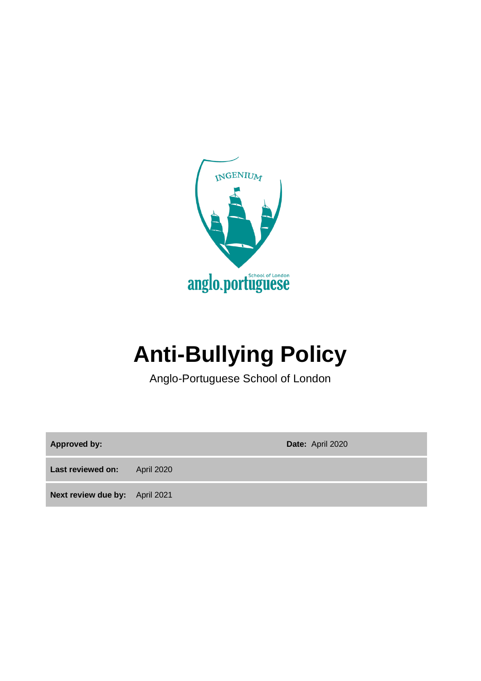

# **Anti-Bullying Policy**

Anglo-Portuguese School of London

**Approved by: Date:** April 2020

Last reviewed on: April 2020

**Next review due by:** April 2021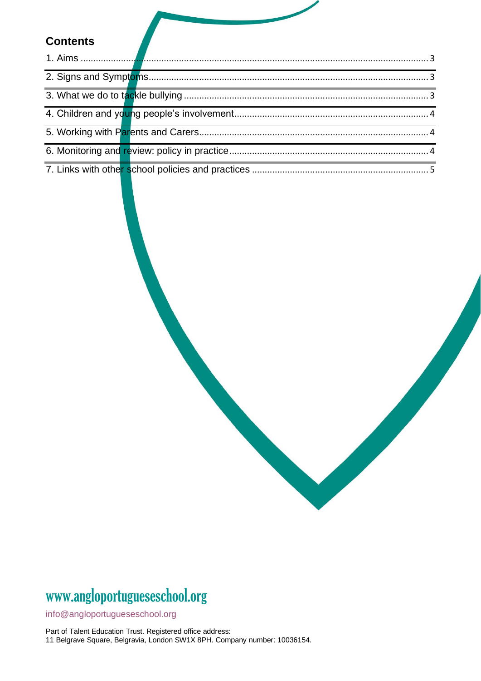## **Contents**

# www[.angloportugueseschool.org](https://angloportugueseschool.org/)

[info@a](mailto:info@)ngloportugueseschool.org

Part of Talent Education Trust. Registered office address: 11 Belgrave Square, Belgravia, London SW1X 8PH. Company number: 10036154.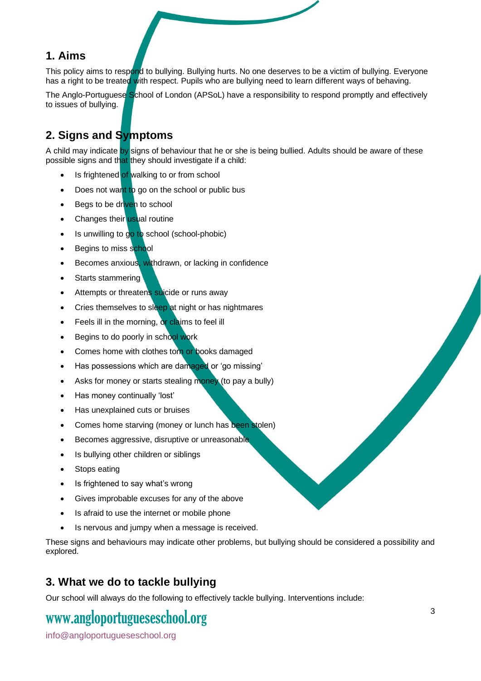#### <span id="page-2-0"></span>**1. Aims**

This policy aims to respond to bullying. Bullying hurts. No one deserves to be a victim of bullying. Everyone has a right to be treated with respect. Pupils who are bullying need to learn different ways of behaving.

The Anglo-Portuguese School of London (APSoL) have a responsibility to respond promptly and effectively to issues of bullying.

## <span id="page-2-1"></span>**2. Signs and Symptoms**

A child may indicate by signs of behaviour that he or she is being bullied. Adults should be aware of these possible signs and that they should investigate if a child:

- Is frightened of walking to or from school
- Does not want to go on the school or public bus
- Begs to be driven to school
- Changes their usual routine
- Is unwilling to go to school (school-phobic)
- Begins to miss school
- Becomes anxious, withdrawn, or lacking in confidence
- Starts stammering
- Attempts or threatens suicide or runs away
- Cries themselves to sleep at night or has nightmares
- Feels ill in the morning, or claims to feel ill
- Begins to do poorly in school work
- Comes home with clothes torn or books damaged
- Has possessions which are damaged or 'go missing'
- Asks for money or starts stealing money (to pay a bully)
- Has money continually 'lost'
- Has unexplained cuts or bruises
- Comes home starving (money or lunch has been stolen)
- Becomes aggressive, disruptive or unreasonable
- Is bullying other children or siblings
- Stops eating
- Is frightened to say what's wrong
- Gives improbable excuses for any of the above
- Is afraid to use the internet or mobile phone
- Is nervous and jumpy when a message is received.

These signs and behaviours may indicate other problems, but bullying should be considered a possibility and explored.

### <span id="page-2-2"></span>**3. What we do to tackle bullying**

Our school will always do the following to effectively tackle bullying. Interventions include:

## www[.angloportugueseschool.org](https://angloportugueseschool.org/)

[info@a](mailto:info@)ngloportugueseschool.org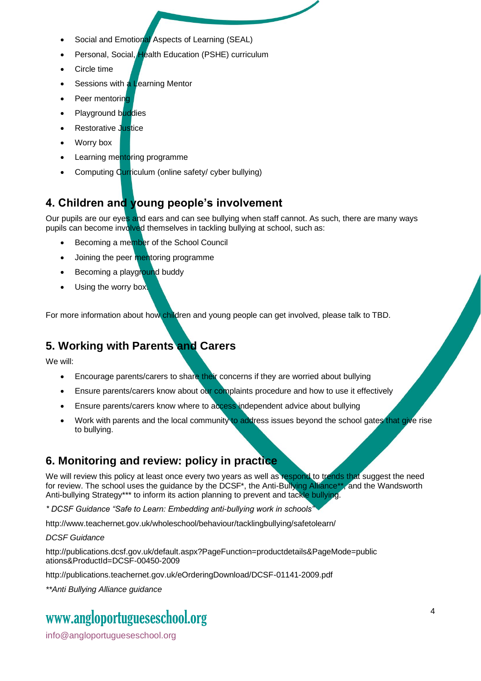- Social and Emotional Aspects of Learning (SEAL)
- Personal, Social, Health Education (PSHE) curriculum
- Circle time
- Sessions with a Learning Mentor
- Peer mentoring
- Playground buddies
- **Restorative Justice**
- Worry box
- Learning mentoring programme
- Computing Curriculum (online safety/ cyber bullying)

## <span id="page-3-0"></span>**4. Children and young people's involvement**

Our pupils are our eyes and ears and can see bullying when staff cannot. As such, there are many ways pupils can become involved themselves in tackling bullying at school, such as:

- Becoming a member of the School Council
- Joining the peer mentoring programme
- Becoming a playground buddy
- Using the worry box.

For more information about how children and young people can get involved, please talk to TBD.

## <span id="page-3-1"></span>**5. Working with Parents and Carers**

We will:

- Encourage parents/carers to share their concerns if they are worried about bullying
- Ensure parents/carers know about our complaints procedure and how to use it effectively
- Ensure parents/carers know where to access independent advice about bullying
- Work with parents and the local community to address issues beyond the school gates that give rise to bullying.

## <span id="page-3-2"></span>**6. Monitoring and review: policy in practice**

We will review this policy at least once every two years as well as respond to trends that suggest the need for review. The school uses the guidance by the DCSF\*, the Anti-Bullying Alliance\*\*, and the Wandsworth Anti-bullying Strategy\*\*\* to inform its action planning to prevent and tackle bullying.

*\* DCSF Guidance "Safe to Learn: Embedding anti-bullying work in schools"* 

http://www.teachernet.gov.uk/wholeschool/behaviour/tacklingbullying/safetolearn/

*DCSF Guidance* 

http://publications.dcsf.gov.uk/default.aspx?PageFunction=productdetails&PageMode=public ations&ProductId=DCSF-00450-2009

http://publications.teachernet.gov.uk/eOrderingDownload/DCSF-01141-2009.pdf

*\*\*Anti Bullying Alliance guidance* 

## www[.angloportugueseschool.org](https://angloportugueseschool.org/)

[info@a](mailto:info@)ngloportugueseschool.org